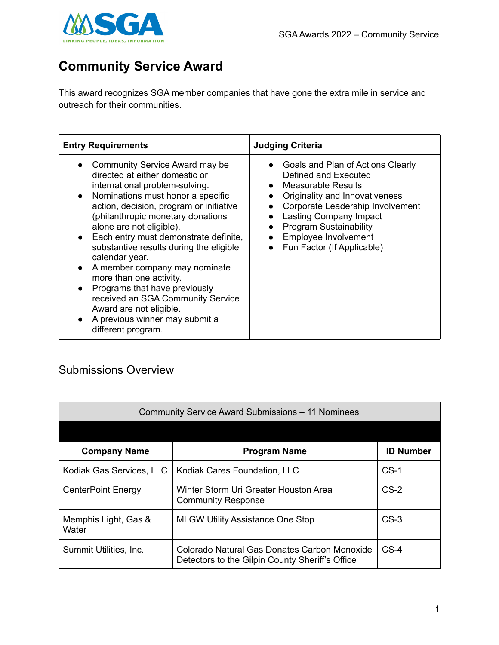

## **Community Service Award**

This award recognizes SGA member companies that have gone the extra mile in service and outreach for their communities.

| <b>Entry Requirements</b>                                                                                                                                                                                                                                                                                                                                                                                                                                                                                                                                                                                | <b>Judging Criteria</b>                                                                                                                                                                                                                                                                        |
|----------------------------------------------------------------------------------------------------------------------------------------------------------------------------------------------------------------------------------------------------------------------------------------------------------------------------------------------------------------------------------------------------------------------------------------------------------------------------------------------------------------------------------------------------------------------------------------------------------|------------------------------------------------------------------------------------------------------------------------------------------------------------------------------------------------------------------------------------------------------------------------------------------------|
| Community Service Award may be<br>directed at either domestic or<br>international problem-solving.<br>Nominations must honor a specific<br>$\bullet$<br>action, decision, program or initiative<br>(philanthropic monetary donations<br>alone are not eligible).<br>Each entry must demonstrate definite,<br>substantive results during the eligible<br>calendar year.<br>A member company may nominate<br>$\bullet$<br>more than one activity.<br>Programs that have previously<br>received an SGA Community Service<br>Award are not eligible.<br>A previous winner may submit a<br>different program. | • Goals and Plan of Actions Clearly<br>Defined and Executed<br>• Measurable Results<br>Originality and Innovativeness<br>$\bullet$<br>Corporate Leadership Involvement<br><b>Lasting Company Impact</b><br><b>Program Sustainability</b><br>Employee Involvement<br>Fun Factor (If Applicable) |

## Submissions Overview

| Community Service Award Submissions - 11 Nominees |                                                                                                 |                  |
|---------------------------------------------------|-------------------------------------------------------------------------------------------------|------------------|
|                                                   |                                                                                                 |                  |
| <b>Company Name</b>                               | <b>Program Name</b>                                                                             | <b>ID Number</b> |
| Kodiak Gas Services, LLC                          | Kodiak Cares Foundation, LLC                                                                    | $CS-1$           |
| <b>CenterPoint Energy</b>                         | Winter Storm Uri Greater Houston Area<br><b>Community Response</b>                              | $CS-2$           |
| Memphis Light, Gas &<br>Water                     | <b>MLGW Utility Assistance One Stop</b>                                                         | $CS-3$           |
| Summit Utilities, Inc.                            | Colorado Natural Gas Donates Carbon Monoxide<br>Detectors to the Gilpin County Sheriff's Office | $CS-4$           |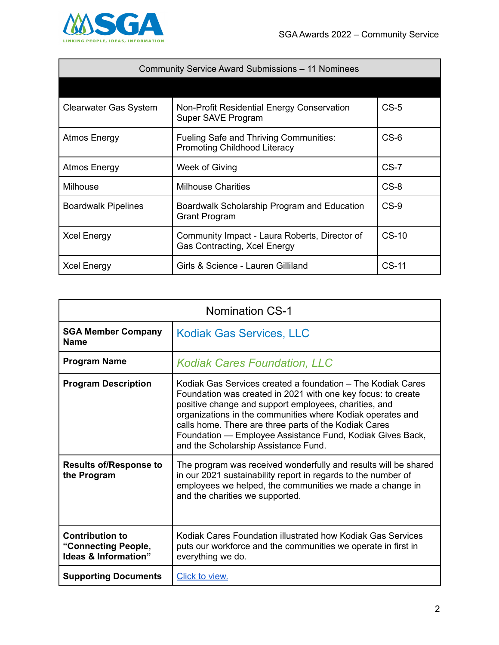

| Community Service Award Submissions - 11 Nominees |                                                                               |         |
|---------------------------------------------------|-------------------------------------------------------------------------------|---------|
|                                                   |                                                                               |         |
| <b>Clearwater Gas System</b>                      | Non-Profit Residential Energy Conservation<br>Super SAVE Program              | $CS-5$  |
| Atmos Energy                                      | Fueling Safe and Thriving Communities:<br><b>Promoting Childhood Literacy</b> | $CS-6$  |
| <b>Atmos Energy</b>                               | Week of Giving                                                                | $CS-7$  |
| <b>Milhouse</b>                                   | <b>Milhouse Charities</b>                                                     | $CS-8$  |
| <b>Boardwalk Pipelines</b>                        | Boardwalk Scholarship Program and Education<br><b>Grant Program</b>           | $CS-9$  |
| <b>Xcel Energy</b>                                | Community Impact - Laura Roberts, Director of<br>Gas Contracting, Xcel Energy | $CS-10$ |
| <b>Xcel Energy</b>                                | Girls & Science - Lauren Gilliland                                            | $CS-11$ |

| <b>Nomination CS-1</b>                                                           |                                                                                                                                                                                                                                                                                                                                                                                                                  |
|----------------------------------------------------------------------------------|------------------------------------------------------------------------------------------------------------------------------------------------------------------------------------------------------------------------------------------------------------------------------------------------------------------------------------------------------------------------------------------------------------------|
| <b>SGA Member Company</b><br><b>Name</b>                                         | <b>Kodiak Gas Services, LLC</b>                                                                                                                                                                                                                                                                                                                                                                                  |
| <b>Program Name</b>                                                              | <b>Kodiak Cares Foundation, LLC</b>                                                                                                                                                                                                                                                                                                                                                                              |
| <b>Program Description</b>                                                       | Kodiak Gas Services created a foundation – The Kodiak Cares<br>Foundation was created in 2021 with one key focus: to create<br>positive change and support employees, charities, and<br>organizations in the communities where Kodiak operates and<br>calls home. There are three parts of the Kodiak Cares<br>Foundation - Employee Assistance Fund, Kodiak Gives Back,<br>and the Scholarship Assistance Fund. |
| <b>Results of/Response to</b><br>the Program                                     | The program was received wonderfully and results will be shared<br>in our 2021 sustainability report in regards to the number of<br>employees we helped, the communities we made a change in<br>and the charities we supported.                                                                                                                                                                                  |
| <b>Contribution to</b><br>"Connecting People,<br><b>Ideas &amp; Information"</b> | Kodiak Cares Foundation illustrated how Kodiak Gas Services<br>puts our workforce and the communities we operate in first in<br>everything we do.                                                                                                                                                                                                                                                                |
| <b>Supporting Documents</b>                                                      | Click to view.                                                                                                                                                                                                                                                                                                                                                                                                   |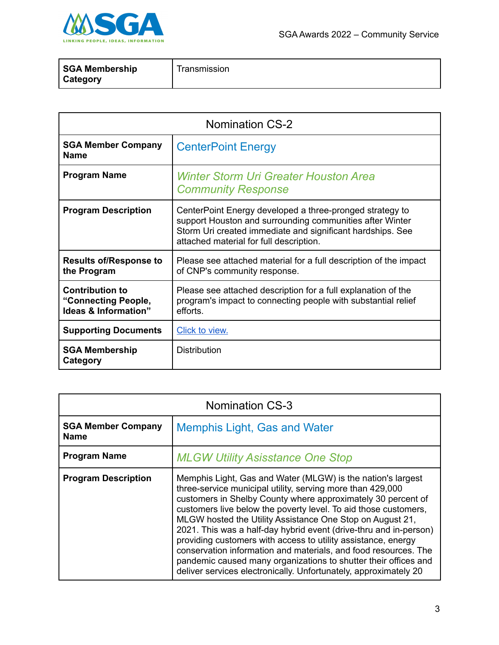

| SGA Membership<br><b>Category</b> | Transmission |
|-----------------------------------|--------------|
|                                   |              |

| <b>Nomination CS-2</b>                                                           |                                                                                                                                                                                                                               |
|----------------------------------------------------------------------------------|-------------------------------------------------------------------------------------------------------------------------------------------------------------------------------------------------------------------------------|
| <b>SGA Member Company</b><br><b>Name</b>                                         | <b>CenterPoint Energy</b>                                                                                                                                                                                                     |
| <b>Program Name</b>                                                              | <b>Winter Storm Uri Greater Houston Area</b><br><b>Community Response</b>                                                                                                                                                     |
| <b>Program Description</b>                                                       | CenterPoint Energy developed a three-pronged strategy to<br>support Houston and surrounding communities after Winter<br>Storm Uri created immediate and significant hardships. See<br>attached material for full description. |
| <b>Results of/Response to</b><br>the Program                                     | Please see attached material for a full description of the impact<br>of CNP's community response.                                                                                                                             |
| <b>Contribution to</b><br>"Connecting People,<br><b>Ideas &amp; Information"</b> | Please see attached description for a full explanation of the<br>program's impact to connecting people with substantial relief<br>efforts.                                                                                    |
| <b>Supporting Documents</b>                                                      | Click to view.                                                                                                                                                                                                                |
| <b>SGA Membership</b><br>Category                                                | <b>Distribution</b>                                                                                                                                                                                                           |

| <b>Nomination CS-3</b>                   |                                                                                                                                                                                                                                                                                                                                                                                                                                                                                                                                                                                                                                                                           |
|------------------------------------------|---------------------------------------------------------------------------------------------------------------------------------------------------------------------------------------------------------------------------------------------------------------------------------------------------------------------------------------------------------------------------------------------------------------------------------------------------------------------------------------------------------------------------------------------------------------------------------------------------------------------------------------------------------------------------|
| <b>SGA Member Company</b><br><b>Name</b> | Memphis Light, Gas and Water                                                                                                                                                                                                                                                                                                                                                                                                                                                                                                                                                                                                                                              |
| <b>Program Name</b>                      | <b>MLGW Utility Asisstance One Stop</b>                                                                                                                                                                                                                                                                                                                                                                                                                                                                                                                                                                                                                                   |
| <b>Program Description</b>               | Memphis Light, Gas and Water (MLGW) is the nation's largest<br>three-service municipal utility, serving more than 429,000<br>customers in Shelby County where approximately 30 percent of<br>customers live below the poverty level. To aid those customers,<br>MLGW hosted the Utility Assistance One Stop on August 21,<br>2021. This was a half-day hybrid event (drive-thru and in-person)<br>providing customers with access to utility assistance, energy<br>conservation information and materials, and food resources. The<br>pandemic caused many organizations to shutter their offices and<br>deliver services electronically. Unfortunately, approximately 20 |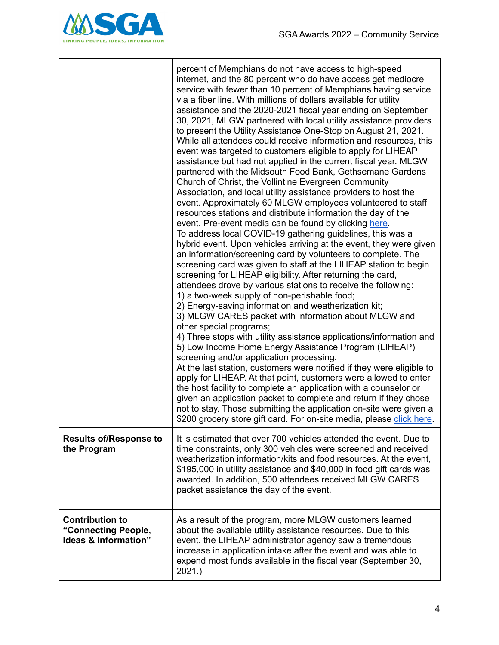

|                                                                       | percent of Memphians do not have access to high-speed<br>internet, and the 80 percent who do have access get mediocre<br>service with fewer than 10 percent of Memphians having service<br>via a fiber line. With millions of dollars available for utility<br>assistance and the 2020-2021 fiscal year ending on September<br>30, 2021, MLGW partnered with local utility assistance providers<br>to present the Utility Assistance One-Stop on August 21, 2021.<br>While all attendees could receive information and resources, this<br>event was targeted to customers eligible to apply for LIHEAP<br>assistance but had not applied in the current fiscal year. MLGW<br>partnered with the Midsouth Food Bank, Gethsemane Gardens<br>Church of Christ, the Vollintine Evergreen Community<br>Association, and local utility assistance providers to host the<br>event. Approximately 60 MLGW employees volunteered to staff<br>resources stations and distribute information the day of the<br>event. Pre-event media can be found by clicking here.<br>To address local COVID-19 gathering guidelines, this was a<br>hybrid event. Upon vehicles arriving at the event, they were given<br>an information/screening card by volunteers to complete. The<br>screening card was given to staff at the LIHEAP station to begin<br>screening for LIHEAP eligibility. After returning the card,<br>attendees drove by various stations to receive the following:<br>1) a two-week supply of non-perishable food;<br>2) Energy-saving information and weatherization kit;<br>3) MLGW CARES packet with information about MLGW and<br>other special programs;<br>4) Three stops with utility assistance applications/information and<br>5) Low Income Home Energy Assistance Program (LIHEAP)<br>screening and/or application processing.<br>At the last station, customers were notified if they were eligible to<br>apply for LIHEAP. At that point, customers were allowed to enter<br>the host facility to complete an application with a counselor or<br>given an application packet to complete and return if they chose<br>not to stay. Those submitting the application on-site were given a<br>\$200 grocery store gift card. For on-site media, please click here. |
|-----------------------------------------------------------------------|-----------------------------------------------------------------------------------------------------------------------------------------------------------------------------------------------------------------------------------------------------------------------------------------------------------------------------------------------------------------------------------------------------------------------------------------------------------------------------------------------------------------------------------------------------------------------------------------------------------------------------------------------------------------------------------------------------------------------------------------------------------------------------------------------------------------------------------------------------------------------------------------------------------------------------------------------------------------------------------------------------------------------------------------------------------------------------------------------------------------------------------------------------------------------------------------------------------------------------------------------------------------------------------------------------------------------------------------------------------------------------------------------------------------------------------------------------------------------------------------------------------------------------------------------------------------------------------------------------------------------------------------------------------------------------------------------------------------------------------------------------------------------------------------------------------------------------------------------------------------------------------------------------------------------------------------------------------------------------------------------------------------------------------------------------------------------------------------------------------------------------------------------------------------------------------------------------------------------------------------------------------------------------|
| <b>Results of/Response to</b><br>the Program                          | It is estimated that over 700 vehicles attended the event. Due to<br>time constraints, only 300 vehicles were screened and received<br>weatherization information/kits and food resources. At the event,<br>\$195,000 in utility assistance and \$40,000 in food gift cards was<br>awarded. In addition, 500 attendees received MLGW CARES<br>packet assistance the day of the event.                                                                                                                                                                                                                                                                                                                                                                                                                                                                                                                                                                                                                                                                                                                                                                                                                                                                                                                                                                                                                                                                                                                                                                                                                                                                                                                                                                                                                                                                                                                                                                                                                                                                                                                                                                                                                                                                                       |
| <b>Contribution to</b><br>"Connecting People,<br>Ideas & Information" | As a result of the program, more MLGW customers learned<br>about the available utility assistance resources. Due to this<br>event, the LIHEAP administrator agency saw a tremendous<br>increase in application intake after the event and was able to<br>expend most funds available in the fiscal year (September 30,<br>2021.                                                                                                                                                                                                                                                                                                                                                                                                                                                                                                                                                                                                                                                                                                                                                                                                                                                                                                                                                                                                                                                                                                                                                                                                                                                                                                                                                                                                                                                                                                                                                                                                                                                                                                                                                                                                                                                                                                                                             |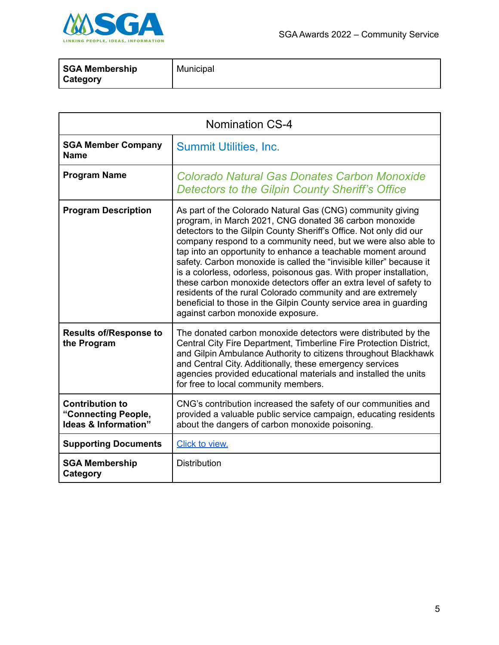

| SGA Membership<br>Category | Municipal |
|----------------------------|-----------|
|                            |           |

| <b>Nomination CS-4</b>                                                |                                                                                                                                                                                                                                                                                                                                                                                                                                                                                                                                                                                                                                                                                                                       |
|-----------------------------------------------------------------------|-----------------------------------------------------------------------------------------------------------------------------------------------------------------------------------------------------------------------------------------------------------------------------------------------------------------------------------------------------------------------------------------------------------------------------------------------------------------------------------------------------------------------------------------------------------------------------------------------------------------------------------------------------------------------------------------------------------------------|
| <b>SGA Member Company</b><br><b>Name</b>                              | <b>Summit Utilities, Inc.</b>                                                                                                                                                                                                                                                                                                                                                                                                                                                                                                                                                                                                                                                                                         |
| <b>Program Name</b>                                                   | Colorado Natural Gas Donates Carbon Monoxide<br>Detectors to the Gilpin County Sheriff's Office                                                                                                                                                                                                                                                                                                                                                                                                                                                                                                                                                                                                                       |
| <b>Program Description</b>                                            | As part of the Colorado Natural Gas (CNG) community giving<br>program, in March 2021, CNG donated 36 carbon monoxide<br>detectors to the Gilpin County Sheriff's Office. Not only did our<br>company respond to a community need, but we were also able to<br>tap into an opportunity to enhance a teachable moment around<br>safety. Carbon monoxide is called the "invisible killer" because it<br>is a colorless, odorless, poisonous gas. With proper installation,<br>these carbon monoxide detectors offer an extra level of safety to<br>residents of the rural Colorado community and are extremely<br>beneficial to those in the Gilpin County service area in guarding<br>against carbon monoxide exposure. |
| <b>Results of/Response to</b><br>the Program                          | The donated carbon monoxide detectors were distributed by the<br>Central City Fire Department, Timberline Fire Protection District,<br>and Gilpin Ambulance Authority to citizens throughout Blackhawk<br>and Central City. Additionally, these emergency services<br>agencies provided educational materials and installed the units<br>for free to local community members.                                                                                                                                                                                                                                                                                                                                         |
| <b>Contribution to</b><br>"Connecting People,<br>Ideas & Information" | CNG's contribution increased the safety of our communities and<br>provided a valuable public service campaign, educating residents<br>about the dangers of carbon monoxide poisoning.                                                                                                                                                                                                                                                                                                                                                                                                                                                                                                                                 |
| <b>Supporting Documents</b>                                           | Click to view.                                                                                                                                                                                                                                                                                                                                                                                                                                                                                                                                                                                                                                                                                                        |
| <b>SGA Membership</b><br>Category                                     | <b>Distribution</b>                                                                                                                                                                                                                                                                                                                                                                                                                                                                                                                                                                                                                                                                                                   |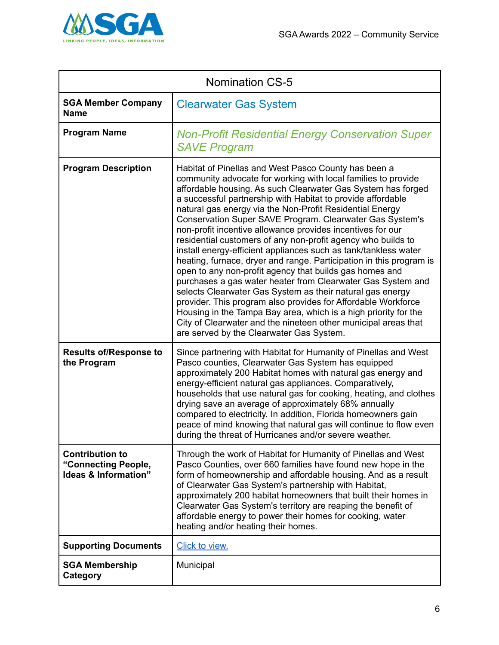

| <b>Nomination CS-5</b>                                                |                                                                                                                                                                                                                                                                                                                                                                                                                                                                                                                                                                                                                                                                                                                                                                                                                                                                                                                                                                                                                                                                                               |
|-----------------------------------------------------------------------|-----------------------------------------------------------------------------------------------------------------------------------------------------------------------------------------------------------------------------------------------------------------------------------------------------------------------------------------------------------------------------------------------------------------------------------------------------------------------------------------------------------------------------------------------------------------------------------------------------------------------------------------------------------------------------------------------------------------------------------------------------------------------------------------------------------------------------------------------------------------------------------------------------------------------------------------------------------------------------------------------------------------------------------------------------------------------------------------------|
| <b>SGA Member Company</b><br><b>Name</b>                              | <b>Clearwater Gas System</b>                                                                                                                                                                                                                                                                                                                                                                                                                                                                                                                                                                                                                                                                                                                                                                                                                                                                                                                                                                                                                                                                  |
| <b>Program Name</b>                                                   | <b>Non-Profit Residential Energy Conservation Super</b><br><b>SAVE Program</b>                                                                                                                                                                                                                                                                                                                                                                                                                                                                                                                                                                                                                                                                                                                                                                                                                                                                                                                                                                                                                |
| <b>Program Description</b>                                            | Habitat of Pinellas and West Pasco County has been a<br>community advocate for working with local families to provide<br>affordable housing. As such Clearwater Gas System has forged<br>a successful partnership with Habitat to provide affordable<br>natural gas energy via the Non-Profit Residential Energy<br>Conservation Super SAVE Program. Clearwater Gas System's<br>non-profit incentive allowance provides incentives for our<br>residential customers of any non-profit agency who builds to<br>install energy-efficient appliances such as tank/tankless water<br>heating, furnace, dryer and range. Participation in this program is<br>open to any non-profit agency that builds gas homes and<br>purchases a gas water heater from Clearwater Gas System and<br>selects Clearwater Gas System as their natural gas energy<br>provider. This program also provides for Affordable Workforce<br>Housing in the Tampa Bay area, which is a high priority for the<br>City of Clearwater and the nineteen other municipal areas that<br>are served by the Clearwater Gas System. |
| <b>Results of/Response to</b><br>the Program                          | Since partnering with Habitat for Humanity of Pinellas and West<br>Pasco counties, Clearwater Gas System has equipped<br>approximately 200 Habitat homes with natural gas energy and<br>energy-efficient natural gas appliances. Comparatively,<br>households that use natural gas for cooking, heating, and clothes<br>drying save an average of approximately 68% annually<br>compared to electricity. In addition, Florida homeowners gain<br>peace of mind knowing that natural gas will continue to flow even<br>during the threat of Hurricanes and/or severe weather.                                                                                                                                                                                                                                                                                                                                                                                                                                                                                                                  |
| <b>Contribution to</b><br>"Connecting People,<br>Ideas & Information" | Through the work of Habitat for Humanity of Pinellas and West<br>Pasco Counties, over 660 families have found new hope in the<br>form of homeownership and affordable housing. And as a result<br>of Clearwater Gas System's partnership with Habitat,<br>approximately 200 habitat homeowners that built their homes in<br>Clearwater Gas System's territory are reaping the benefit of<br>affordable energy to power their homes for cooking, water<br>heating and/or heating their homes.                                                                                                                                                                                                                                                                                                                                                                                                                                                                                                                                                                                                  |
| <b>Supporting Documents</b>                                           | Click to view.                                                                                                                                                                                                                                                                                                                                                                                                                                                                                                                                                                                                                                                                                                                                                                                                                                                                                                                                                                                                                                                                                |
| <b>SGA Membership</b><br>Category                                     | Municipal                                                                                                                                                                                                                                                                                                                                                                                                                                                                                                                                                                                                                                                                                                                                                                                                                                                                                                                                                                                                                                                                                     |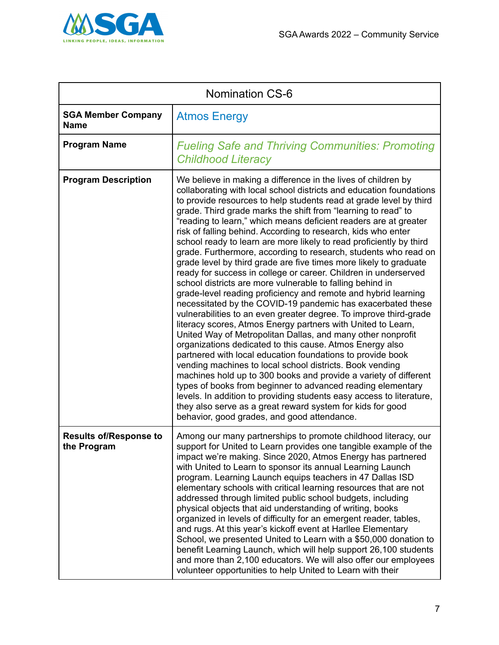

| <b>Nomination CS-6</b>                       |                                                                                                                                                                                                                                                                                                                                                                                                                                                                                                                                                                                                                                                                                                                                                                                                                                                                                                                                                                                                                                                                                                                                                                                                                                                                                                                                                                                                                                                                                                                                                                                                                    |
|----------------------------------------------|--------------------------------------------------------------------------------------------------------------------------------------------------------------------------------------------------------------------------------------------------------------------------------------------------------------------------------------------------------------------------------------------------------------------------------------------------------------------------------------------------------------------------------------------------------------------------------------------------------------------------------------------------------------------------------------------------------------------------------------------------------------------------------------------------------------------------------------------------------------------------------------------------------------------------------------------------------------------------------------------------------------------------------------------------------------------------------------------------------------------------------------------------------------------------------------------------------------------------------------------------------------------------------------------------------------------------------------------------------------------------------------------------------------------------------------------------------------------------------------------------------------------------------------------------------------------------------------------------------------------|
| <b>SGA Member Company</b><br><b>Name</b>     | <b>Atmos Energy</b>                                                                                                                                                                                                                                                                                                                                                                                                                                                                                                                                                                                                                                                                                                                                                                                                                                                                                                                                                                                                                                                                                                                                                                                                                                                                                                                                                                                                                                                                                                                                                                                                |
| <b>Program Name</b>                          | <b>Fueling Safe and Thriving Communities: Promoting</b><br><b>Childhood Literacy</b>                                                                                                                                                                                                                                                                                                                                                                                                                                                                                                                                                                                                                                                                                                                                                                                                                                                                                                                                                                                                                                                                                                                                                                                                                                                                                                                                                                                                                                                                                                                               |
| <b>Program Description</b>                   | We believe in making a difference in the lives of children by<br>collaborating with local school districts and education foundations<br>to provide resources to help students read at grade level by third<br>grade. Third grade marks the shift from "learning to read" to<br>"reading to learn," which means deficient readers are at greater<br>risk of falling behind. According to research, kids who enter<br>school ready to learn are more likely to read proficiently by third<br>grade. Furthermore, according to research, students who read on<br>grade level by third grade are five times more likely to graduate<br>ready for success in college or career. Children in underserved<br>school districts are more vulnerable to falling behind in<br>grade-level reading proficiency and remote and hybrid learning<br>necessitated by the COVID-19 pandemic has exacerbated these<br>vulnerabilities to an even greater degree. To improve third-grade<br>literacy scores, Atmos Energy partners with United to Learn,<br>United Way of Metropolitan Dallas, and many other nonprofit<br>organizations dedicated to this cause. Atmos Energy also<br>partnered with local education foundations to provide book<br>vending machines to local school districts. Book vending<br>machines hold up to 300 books and provide a variety of different<br>types of books from beginner to advanced reading elementary<br>levels. In addition to providing students easy access to literature,<br>they also serve as a great reward system for kids for good<br>behavior, good grades, and good attendance. |
| <b>Results of/Response to</b><br>the Program | Among our many partnerships to promote childhood literacy, our<br>support for United to Learn provides one tangible example of the<br>impact we're making. Since 2020, Atmos Energy has partnered<br>with United to Learn to sponsor its annual Learning Launch<br>program. Learning Launch equips teachers in 47 Dallas ISD<br>elementary schools with critical learning resources that are not<br>addressed through limited public school budgets, including<br>physical objects that aid understanding of writing, books<br>organized in levels of difficulty for an emergent reader, tables,<br>and rugs. At this year's kickoff event at Harllee Elementary<br>School, we presented United to Learn with a \$50,000 donation to<br>benefit Learning Launch, which will help support 26,100 students<br>and more than 2,100 educators. We will also offer our employees<br>volunteer opportunities to help United to Learn with their                                                                                                                                                                                                                                                                                                                                                                                                                                                                                                                                                                                                                                                                          |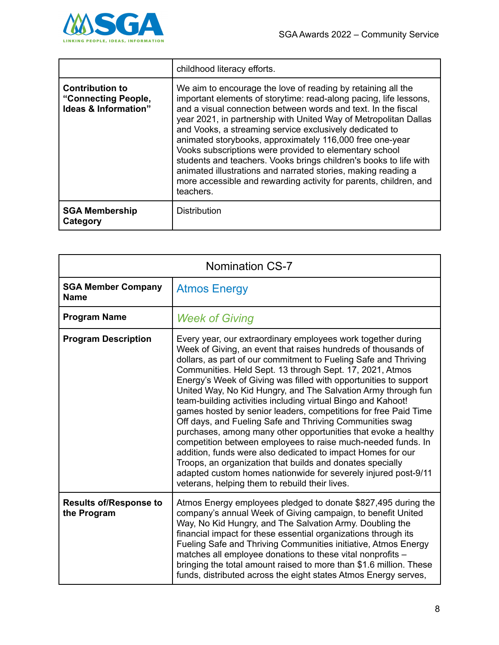

|                                                                       | childhood literacy efforts.                                                                                                                                                                                                                                                                                                                                                                                                                                                                                                                                                                                                                                                     |
|-----------------------------------------------------------------------|---------------------------------------------------------------------------------------------------------------------------------------------------------------------------------------------------------------------------------------------------------------------------------------------------------------------------------------------------------------------------------------------------------------------------------------------------------------------------------------------------------------------------------------------------------------------------------------------------------------------------------------------------------------------------------|
| <b>Contribution to</b><br>"Connecting People,<br>Ideas & Information" | We aim to encourage the love of reading by retaining all the<br>important elements of storytime: read-along pacing, life lessons,<br>and a visual connection between words and text. In the fiscal<br>year 2021, in partnership with United Way of Metropolitan Dallas<br>and Vooks, a streaming service exclusively dedicated to<br>animated storybooks, approximately 116,000 free one-year<br>Vooks subscriptions were provided to elementary school<br>students and teachers. Vooks brings children's books to life with<br>animated illustrations and narrated stories, making reading a<br>more accessible and rewarding activity for parents, children, and<br>teachers. |
| <b>SGA Membership</b><br>Category                                     | <b>Distribution</b>                                                                                                                                                                                                                                                                                                                                                                                                                                                                                                                                                                                                                                                             |

| <b>Nomination CS-7</b>                       |                                                                                                                                                                                                                                                                                                                                                                                                                                                                                                                                                                                                                                                                                                                                                                                                                                                                                                                                                                                    |
|----------------------------------------------|------------------------------------------------------------------------------------------------------------------------------------------------------------------------------------------------------------------------------------------------------------------------------------------------------------------------------------------------------------------------------------------------------------------------------------------------------------------------------------------------------------------------------------------------------------------------------------------------------------------------------------------------------------------------------------------------------------------------------------------------------------------------------------------------------------------------------------------------------------------------------------------------------------------------------------------------------------------------------------|
| <b>SGA Member Company</b><br><b>Name</b>     | <b>Atmos Energy</b>                                                                                                                                                                                                                                                                                                                                                                                                                                                                                                                                                                                                                                                                                                                                                                                                                                                                                                                                                                |
| <b>Program Name</b>                          | <b>Week of Giving</b>                                                                                                                                                                                                                                                                                                                                                                                                                                                                                                                                                                                                                                                                                                                                                                                                                                                                                                                                                              |
| <b>Program Description</b>                   | Every year, our extraordinary employees work together during<br>Week of Giving, an event that raises hundreds of thousands of<br>dollars, as part of our commitment to Fueling Safe and Thriving<br>Communities. Held Sept. 13 through Sept. 17, 2021, Atmos<br>Energy's Week of Giving was filled with opportunities to support<br>United Way, No Kid Hungry, and The Salvation Army through fun<br>team-building activities including virtual Bingo and Kahoot!<br>games hosted by senior leaders, competitions for free Paid Time<br>Off days, and Fueling Safe and Thriving Communities swag<br>purchases, among many other opportunities that evoke a healthy<br>competition between employees to raise much-needed funds. In<br>addition, funds were also dedicated to impact Homes for our<br>Troops, an organization that builds and donates specially<br>adapted custom homes nationwide for severely injured post-9/11<br>veterans, helping them to rebuild their lives. |
| <b>Results of/Response to</b><br>the Program | Atmos Energy employees pledged to donate \$827,495 during the<br>company's annual Week of Giving campaign, to benefit United<br>Way, No Kid Hungry, and The Salvation Army. Doubling the<br>financial impact for these essential organizations through its<br>Fueling Safe and Thriving Communities initiative, Atmos Energy<br>matches all employee donations to these vital nonprofits -<br>bringing the total amount raised to more than \$1.6 million. These<br>funds, distributed across the eight states Atmos Energy serves,                                                                                                                                                                                                                                                                                                                                                                                                                                                |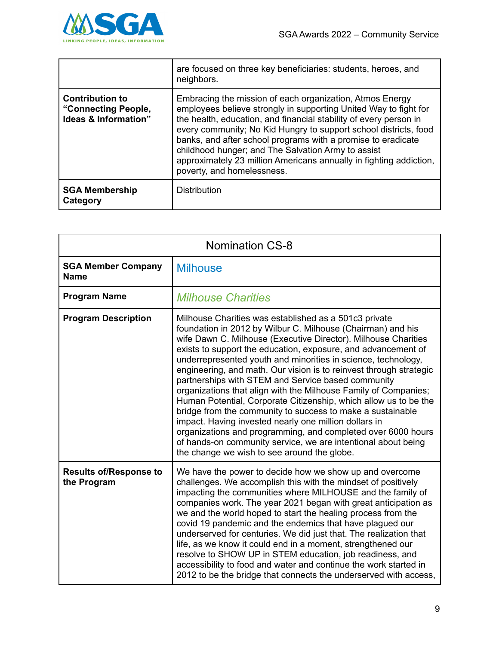

|                                                                       | are focused on three key beneficiaries: students, heroes, and<br>neighbors.                                                                                                                                                                                                                                                                                                                                                                                                                     |
|-----------------------------------------------------------------------|-------------------------------------------------------------------------------------------------------------------------------------------------------------------------------------------------------------------------------------------------------------------------------------------------------------------------------------------------------------------------------------------------------------------------------------------------------------------------------------------------|
| <b>Contribution to</b><br>"Connecting People,<br>Ideas & Information" | Embracing the mission of each organization, Atmos Energy<br>employees believe strongly in supporting United Way to fight for<br>the health, education, and financial stability of every person in<br>every community; No Kid Hungry to support school districts, food<br>banks, and after school programs with a promise to eradicate<br>childhood hunger; and The Salvation Army to assist<br>approximately 23 million Americans annually in fighting addiction,<br>poverty, and homelessness. |
| <b>SGA Membership</b><br>Category                                     | <b>Distribution</b>                                                                                                                                                                                                                                                                                                                                                                                                                                                                             |

| <b>Nomination CS-8</b>                       |                                                                                                                                                                                                                                                                                                                                                                                                                                                                                                                                                                                                                                                                                                                                                                                                                                                                                                    |
|----------------------------------------------|----------------------------------------------------------------------------------------------------------------------------------------------------------------------------------------------------------------------------------------------------------------------------------------------------------------------------------------------------------------------------------------------------------------------------------------------------------------------------------------------------------------------------------------------------------------------------------------------------------------------------------------------------------------------------------------------------------------------------------------------------------------------------------------------------------------------------------------------------------------------------------------------------|
| <b>SGA Member Company</b><br><b>Name</b>     | <b>Milhouse</b>                                                                                                                                                                                                                                                                                                                                                                                                                                                                                                                                                                                                                                                                                                                                                                                                                                                                                    |
| <b>Program Name</b>                          | <b>Milhouse Charities</b>                                                                                                                                                                                                                                                                                                                                                                                                                                                                                                                                                                                                                                                                                                                                                                                                                                                                          |
| <b>Program Description</b>                   | Milhouse Charities was established as a 501c3 private<br>foundation in 2012 by Wilbur C. Milhouse (Chairman) and his<br>wife Dawn C. Milhouse (Executive Director). Milhouse Charities<br>exists to support the education, exposure, and advancement of<br>underrepresented youth and minorities in science, technology,<br>engineering, and math. Our vision is to reinvest through strategic<br>partnerships with STEM and Service based community<br>organizations that align with the Milhouse Family of Companies;<br>Human Potential, Corporate Citizenship, which allow us to be the<br>bridge from the community to success to make a sustainable<br>impact. Having invested nearly one million dollars in<br>organizations and programming, and completed over 6000 hours<br>of hands-on community service, we are intentional about being<br>the change we wish to see around the globe. |
| <b>Results of/Response to</b><br>the Program | We have the power to decide how we show up and overcome<br>challenges. We accomplish this with the mindset of positively<br>impacting the communities where MILHOUSE and the family of<br>companies work. The year 2021 began with great anticipation as<br>we and the world hoped to start the healing process from the<br>covid 19 pandemic and the endemics that have plagued our<br>underserved for centuries. We did just that. The realization that<br>life, as we know it could end in a moment, strengthened our<br>resolve to SHOW UP in STEM education, job readiness, and<br>accessibility to food and water and continue the work started in<br>2012 to be the bridge that connects the underserved with access,                                                                                                                                                                       |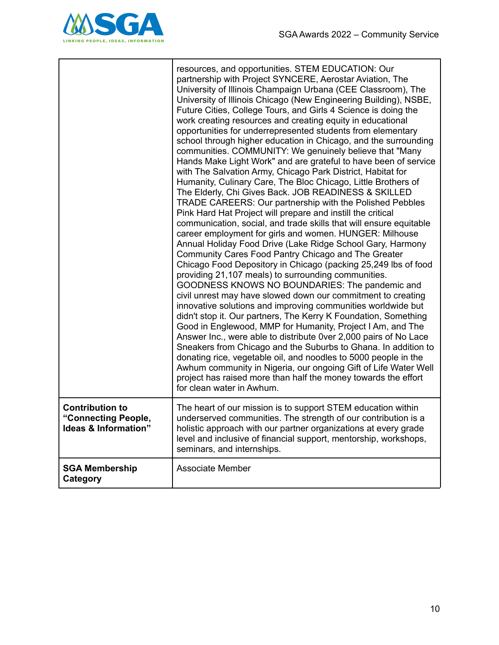

|                                                                                  | resources, and opportunities. STEM EDUCATION: Our<br>partnership with Project SYNCERE, Aerostar Aviation, The<br>University of Illinois Champaign Urbana (CEE Classroom), The<br>University of Illinois Chicago (New Engineering Building), NSBE,<br>Future Cities, College Tours, and Girls 4 Science is doing the<br>work creating resources and creating equity in educational<br>opportunities for underrepresented students from elementary<br>school through higher education in Chicago, and the surrounding<br>communities. COMMUNITY: We genuinely believe that "Many<br>Hands Make Light Work" and are grateful to have been of service<br>with The Salvation Army, Chicago Park District, Habitat for<br>Humanity, Culinary Care, The Bloc Chicago, Little Brothers of<br>The Elderly, Chi Gives Back. JOB READINESS & SKILLED<br>TRADE CAREERS: Our partnership with the Polished Pebbles<br>Pink Hard Hat Project will prepare and instill the critical<br>communication, social, and trade skills that will ensure equitable<br>career employment for girls and women. HUNGER: Milhouse<br>Annual Holiday Food Drive (Lake Ridge School Gary, Harmony<br>Community Cares Food Pantry Chicago and The Greater<br>Chicago Food Depository in Chicago (packing 25,249 lbs of food<br>providing 21,107 meals) to surrounding communities.<br>GOODNESS KNOWS NO BOUNDARIES: The pandemic and<br>civil unrest may have slowed down our commitment to creating<br>innovative solutions and improving communities worldwide but<br>didn't stop it. Our partners, The Kerry K Foundation, Something<br>Good in Englewood, MMP for Humanity, Project I Am, and The<br>Answer Inc., were able to distribute 0ver 2,000 pairs of No Lace<br>Sneakers from Chicago and the Suburbs to Ghana. In addition to<br>donating rice, vegetable oil, and noodles to 5000 people in the<br>Awhum community in Nigeria, our ongoing Gift of Life Water Well<br>project has raised more than half the money towards the effort<br>for clean water in Awhum. |
|----------------------------------------------------------------------------------|---------------------------------------------------------------------------------------------------------------------------------------------------------------------------------------------------------------------------------------------------------------------------------------------------------------------------------------------------------------------------------------------------------------------------------------------------------------------------------------------------------------------------------------------------------------------------------------------------------------------------------------------------------------------------------------------------------------------------------------------------------------------------------------------------------------------------------------------------------------------------------------------------------------------------------------------------------------------------------------------------------------------------------------------------------------------------------------------------------------------------------------------------------------------------------------------------------------------------------------------------------------------------------------------------------------------------------------------------------------------------------------------------------------------------------------------------------------------------------------------------------------------------------------------------------------------------------------------------------------------------------------------------------------------------------------------------------------------------------------------------------------------------------------------------------------------------------------------------------------------------------------------------------------------------------------------------------------------------------------------------------------------------------------------------|
| <b>Contribution to</b><br>"Connecting People,<br><b>Ideas &amp; Information"</b> | The heart of our mission is to support STEM education within<br>underserved communities. The strength of our contribution is a<br>holistic approach with our partner organizations at every grade<br>level and inclusive of financial support, mentorship, workshops,<br>seminars, and internships.                                                                                                                                                                                                                                                                                                                                                                                                                                                                                                                                                                                                                                                                                                                                                                                                                                                                                                                                                                                                                                                                                                                                                                                                                                                                                                                                                                                                                                                                                                                                                                                                                                                                                                                                               |
| <b>SGA Membership</b><br>Category                                                | <b>Associate Member</b>                                                                                                                                                                                                                                                                                                                                                                                                                                                                                                                                                                                                                                                                                                                                                                                                                                                                                                                                                                                                                                                                                                                                                                                                                                                                                                                                                                                                                                                                                                                                                                                                                                                                                                                                                                                                                                                                                                                                                                                                                           |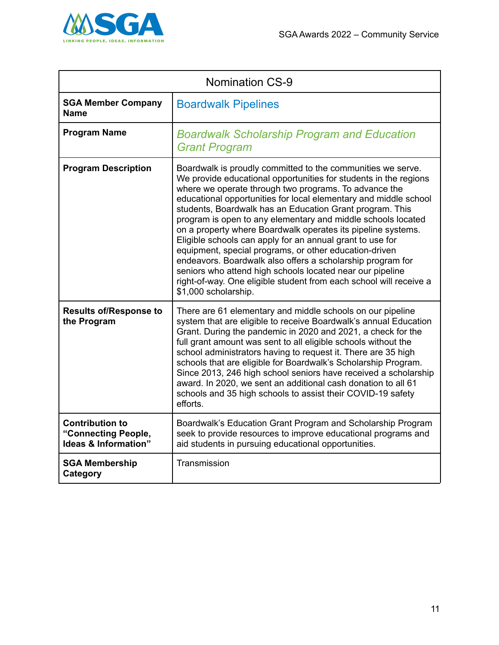

| <b>Nomination CS-9</b>                                                |                                                                                                                                                                                                                                                                                                                                                                                                                                                                                                                                                                                                                                                                                                                                                                                                          |
|-----------------------------------------------------------------------|----------------------------------------------------------------------------------------------------------------------------------------------------------------------------------------------------------------------------------------------------------------------------------------------------------------------------------------------------------------------------------------------------------------------------------------------------------------------------------------------------------------------------------------------------------------------------------------------------------------------------------------------------------------------------------------------------------------------------------------------------------------------------------------------------------|
| <b>SGA Member Company</b><br><b>Name</b>                              | <b>Boardwalk Pipelines</b>                                                                                                                                                                                                                                                                                                                                                                                                                                                                                                                                                                                                                                                                                                                                                                               |
| <b>Program Name</b>                                                   | <b>Boardwalk Scholarship Program and Education</b><br><b>Grant Program</b>                                                                                                                                                                                                                                                                                                                                                                                                                                                                                                                                                                                                                                                                                                                               |
| <b>Program Description</b>                                            | Boardwalk is proudly committed to the communities we serve.<br>We provide educational opportunities for students in the regions<br>where we operate through two programs. To advance the<br>educational opportunities for local elementary and middle school<br>students, Boardwalk has an Education Grant program. This<br>program is open to any elementary and middle schools located<br>on a property where Boardwalk operates its pipeline systems.<br>Eligible schools can apply for an annual grant to use for<br>equipment, special programs, or other education-driven<br>endeavors. Boardwalk also offers a scholarship program for<br>seniors who attend high schools located near our pipeline<br>right-of-way. One eligible student from each school will receive a<br>\$1,000 scholarship. |
| <b>Results of/Response to</b><br>the Program                          | There are 61 elementary and middle schools on our pipeline<br>system that are eligible to receive Boardwalk's annual Education<br>Grant. During the pandemic in 2020 and 2021, a check for the<br>full grant amount was sent to all eligible schools without the<br>school administrators having to request it. There are 35 high<br>schools that are eligible for Boardwalk's Scholarship Program.<br>Since 2013, 246 high school seniors have received a scholarship<br>award. In 2020, we sent an additional cash donation to all 61<br>schools and 35 high schools to assist their COVID-19 safety<br>efforts.                                                                                                                                                                                       |
| <b>Contribution to</b><br>"Connecting People,<br>Ideas & Information" | Boardwalk's Education Grant Program and Scholarship Program<br>seek to provide resources to improve educational programs and<br>aid students in pursuing educational opportunities.                                                                                                                                                                                                                                                                                                                                                                                                                                                                                                                                                                                                                      |
| <b>SGA Membership</b><br>Category                                     | Transmission                                                                                                                                                                                                                                                                                                                                                                                                                                                                                                                                                                                                                                                                                                                                                                                             |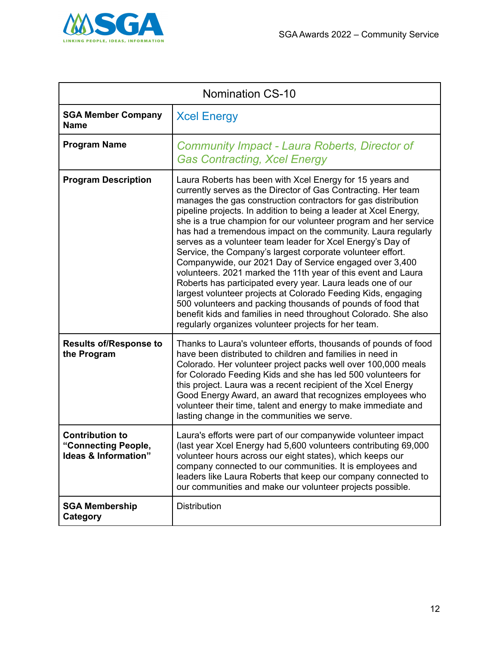

| <b>Nomination CS-10</b>                                                          |                                                                                                                                                                                                                                                                                                                                                                                                                                                                                                                                                                                                                                                                                                                                                                                                                                                                                                                                                                                       |
|----------------------------------------------------------------------------------|---------------------------------------------------------------------------------------------------------------------------------------------------------------------------------------------------------------------------------------------------------------------------------------------------------------------------------------------------------------------------------------------------------------------------------------------------------------------------------------------------------------------------------------------------------------------------------------------------------------------------------------------------------------------------------------------------------------------------------------------------------------------------------------------------------------------------------------------------------------------------------------------------------------------------------------------------------------------------------------|
| <b>SGA Member Company</b><br><b>Name</b>                                         | <b>Xcel Energy</b>                                                                                                                                                                                                                                                                                                                                                                                                                                                                                                                                                                                                                                                                                                                                                                                                                                                                                                                                                                    |
| <b>Program Name</b>                                                              | Community Impact - Laura Roberts, Director of<br><b>Gas Contracting, Xcel Energy</b>                                                                                                                                                                                                                                                                                                                                                                                                                                                                                                                                                                                                                                                                                                                                                                                                                                                                                                  |
| <b>Program Description</b>                                                       | Laura Roberts has been with Xcel Energy for 15 years and<br>currently serves as the Director of Gas Contracting. Her team<br>manages the gas construction contractors for gas distribution<br>pipeline projects. In addition to being a leader at Xcel Energy,<br>she is a true champion for our volunteer program and her service<br>has had a tremendous impact on the community. Laura regularly<br>serves as a volunteer team leader for Xcel Energy's Day of<br>Service, the Company's largest corporate volunteer effort.<br>Companywide, our 2021 Day of Service engaged over 3,400<br>volunteers. 2021 marked the 11th year of this event and Laura<br>Roberts has participated every year. Laura leads one of our<br>largest volunteer projects at Colorado Feeding Kids, engaging<br>500 volunteers and packing thousands of pounds of food that<br>benefit kids and families in need throughout Colorado. She also<br>regularly organizes volunteer projects for her team. |
| <b>Results of/Response to</b><br>the Program                                     | Thanks to Laura's volunteer efforts, thousands of pounds of food<br>have been distributed to children and families in need in<br>Colorado. Her volunteer project packs well over 100,000 meals<br>for Colorado Feeding Kids and she has led 500 volunteers for<br>this project. Laura was a recent recipient of the Xcel Energy<br>Good Energy Award, an award that recognizes employees who<br>volunteer their time, talent and energy to make immediate and<br>lasting change in the communities we serve.                                                                                                                                                                                                                                                                                                                                                                                                                                                                          |
| <b>Contribution to</b><br>"Connecting People,<br><b>Ideas &amp; Information"</b> | Laura's efforts were part of our companywide volunteer impact<br>(last year Xcel Energy had 5,600 volunteers contributing 69,000<br>volunteer hours across our eight states), which keeps our<br>company connected to our communities. It is employees and<br>leaders like Laura Roberts that keep our company connected to<br>our communities and make our volunteer projects possible.                                                                                                                                                                                                                                                                                                                                                                                                                                                                                                                                                                                              |
| <b>SGA Membership</b><br>Category                                                | <b>Distribution</b>                                                                                                                                                                                                                                                                                                                                                                                                                                                                                                                                                                                                                                                                                                                                                                                                                                                                                                                                                                   |